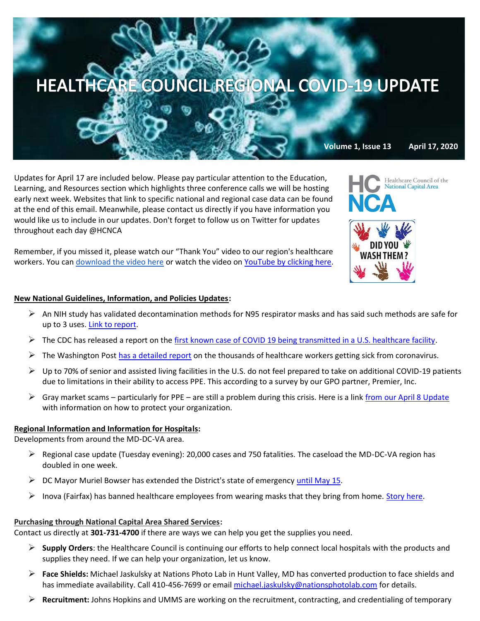

Updates for April 17 are included below. Please pay particular attention to the Education, Learning, and Resources section which highlights three conference calls we will be hosting early next week. Websites that link to specific national and regional case data can be found at the end of this email. Meanwhile, please contact us directly if you have information you would like us to include in our updates. Don't forget to follow us on Twitter for updates throughout each day @HCNCA

Remember, if you missed it, please watch our "Thank You" video to our region's healthcare workers. You can [download the video here](https://we.tl/t-0B45ap5TRt#_blank) or watch the video on [YouTube by clicking here.](https://www.youtube.com/watch?v=HBYUCBxwV4E&feature=youtu.be)

## **New National Guidelines, Information, and Policies Updates:**

- $\triangleright$  An NIH study has validated decontamination methods for N95 respirator masks and has said such methods are safe for up to 3 uses. [Link to report.](https://www.nih.gov/news-events/news-releases/nih-study-validates-decontamination-methods-re-use-n95-respirators)
- $\triangleright$  The CDC has released a report on the [first known case of COVID 19 being transmitted in a U.S. healthcare facility.](https://www.cdc.gov/mmwr/volumes/69/wr/mm6915e5.htm?s_cid=mm6915e5_w)
- $\triangleright$  The Washington Post [has a detailed report](https://www.washingtonpost.com/news/powerpost/paloma/the-health-202/2020/04/16/the-health-202-coronavirus-is-sickening-thousands-of-medical-workers/5e972f6988e0fa101a763966/?utm_campaign=wp_the_health_202&utm_medium=email&utm_source=newsletter&wpisrc=nl_health202) on the thousands of healthcare workers getting sick from coronavirus.
- $\triangleright$  Up to 70% of senior and assisted living facilities in the U.S. do not feel prepared to take on additional COVID-19 patients due to limitations in their ability to access PPE. This according to a survey by our GPO partner, Premier, Inc.
- $\triangleright$  Gray market scams particularly for PPE are still a problem during this crisis. Here is a link [from our April 8 Update](https://www.premierinc.com/newsroom/blog/common-covid-19-grey-market-scams-and-how-to-avoid-them?mkt_tok=eyJpIjoiWVRJNE1HSXlOVE0zTXpCaCIsInQiOiJZU0lSSktCeXlkK2wwdEtHOEJCaFNTUlRMSmdZNGFndm51YTRMSWx3cU1QRlF1NnRMb0xIWUdlUXUwWEx5TmszXC9FMFQwVktDeVhMd2t1dzVENXZqZjhLYWI1aXpKZTlYeGlybm94d0k2QXJNQ2RVYU9mZ3FZYkFQQzdBcUU3Q2YifQ==) with information on how to protect your organization.

## **Regional Information and Information for Hospitals:**

Developments from around the MD-DC-VA area.

- $\triangleright$  Regional case update (Tuesday evening): 20,000 cases and 750 fatalities. The caseload the MD-DC-VA region has doubled in one week.
- $\triangleright$  DC Mayor Muriel Bowser has extended the District's state of emergency [until May 15.](https://mayor.dc.gov/release/guidance-mayor’s-order-residents-and-businesses)
- $\triangleright$  Inova (Fairfax) has banned healthcare employees from wearing masks that they bring from home. [Story here.](https://www.washingtonpost.com/local/virginia-politics/inova-bans-hospital-workers-from-wearing-ppe-they-bring-from-home/2020/04/16/6a4d55e6-7f2d-11ea-a3ee-13e1ae0a3571_story.html)

## **Purchasing through National Capital Area Shared Services:**

Contact us directly at **301-731-4700** if there are ways we can help you get the supplies you need.

- ➢ **Supply Orders**: the Healthcare Council is continuing our efforts to help connect local hospitals with the products and supplies they need. If we can help your organization, let us know.
- ➢ **Face Shields:** Michael Jaskulsky at Nations Photo Lab in Hunt Valley, MD has converted production to face shields and has immediate availability. Call 410-456-7699 or email [michael.jaskulsky@nationsphotolab.com](mailto:michael.jaskulsky@nationsphotolab.com) for details.
- ➢ **Recruitment:** Johns Hopkins and UMMS are working on the recruitment, contracting, and credentialing of temporary



Healthcare Council of the **Vational Capital Area**